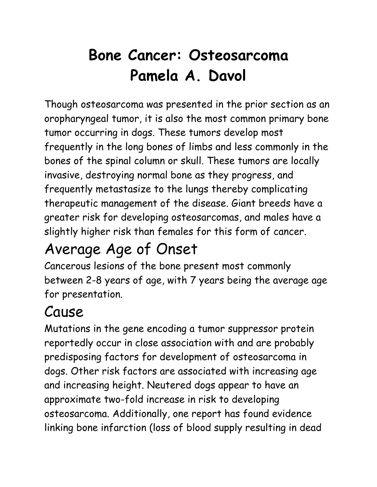# **Bone Cancer: Osteosarcoma Pamela A. Davol**

Though osteosarcoma was presented in the prior section as an oropharyngeal tumor, it is also the most common primary bone tumor occurring in dogs. These tumors develop most frequently in the long bones of limbs and less commonly in the bones of the spinal column or skull. These tumors are locally invasive, destroying normal bone as they progress, and frequently metastasize to the lungs thereby complicating therapeutic management of the disease. Giant breeds have a greater risk for developing osteosarcomas, and males have a slightly higher risk than females for this form of cancer.

### Average Age of Onset

Cancerous lesions of the bone present most commonly between 2-8 years of age, with 7 years being the average age for presentation.

## Cause

Mutations in the gene encoding a tumor suppressor protein reportedly occur in close association with and are probably predisposing factors for development of osteosarcoma in dogs. Other risk factors are associated with increasing age and increasing height. Neutered dogs appear to have an approximate two-fold increase in risk to developing osteosarcoma. Additionally, one report has found evidence linking bone infarction (loss of blood supply resulting in dead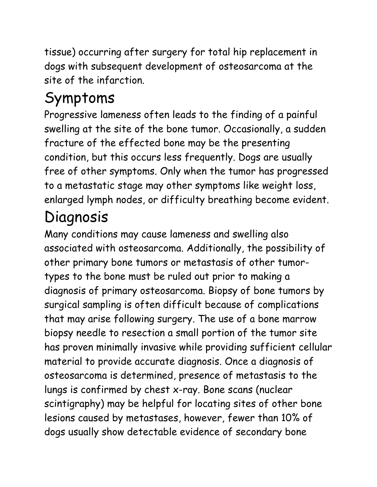tissue) occurring after surgery for total hip replacement in dogs with subsequent development of osteosarcoma at the site of the infarction.

## Symptoms

Progressive lameness often leads to the finding of a painful swelling at the site of the bone tumor. Occasionally, a sudden fracture of the effected bone may be the presenting condition, but this occurs less frequently. Dogs are usually free of other symptoms. Only when the tumor has progressed to a metastatic stage may other symptoms like weight loss, enlarged lymph nodes, or difficulty breathing become evident.

### Diagnosis

Many conditions may cause lameness and swelling also associated with osteosarcoma. Additionally, the possibility of other primary bone tumors or metastasis of other tumortypes to the bone must be ruled out prior to making a diagnosis of primary osteosarcoma. Biopsy of bone tumors by surgical sampling is often difficult because of complications that may arise following surgery. The use of a bone marrow biopsy needle to resection a small portion of the tumor site has proven minimally invasive while providing sufficient cellular material to provide accurate diagnosis. Once a diagnosis of osteosarcoma is determined, presence of metastasis to the lungs is confirmed by chest x-ray. Bone scans (nuclear scintigraphy) may be helpful for locating sites of other bone lesions caused by metastases, however, fewer than 10% of dogs usually show detectable evidence of secondary bone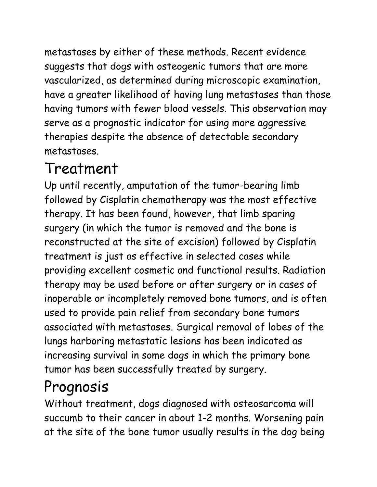metastases by either of these methods. Recent evidence suggests that dogs with osteogenic tumors that are more vascularized, as determined during microscopic examination, have a greater likelihood of having lung metastases than those having tumors with fewer blood vessels. This observation may serve as a prognostic indicator for using more aggressive therapies despite the absence of detectable secondary metastases.

#### Treatment

Up until recently, amputation of the tumor-bearing limb followed by Cisplatin chemotherapy was the most effective therapy. It has been found, however, that limb sparing surgery (in which the tumor is removed and the bone is reconstructed at the site of excision) followed by Cisplatin treatment is just as effective in selected cases while providing excellent cosmetic and functional results. Radiation therapy may be used before or after surgery or in cases of inoperable or incompletely removed bone tumors, and is often used to provide pain relief from secondary bone tumors associated with metastases. Surgical removal of lobes of the lungs harboring metastatic lesions has been indicated as increasing survival in some dogs in which the primary bone tumor has been successfully treated by surgery.

### Prognosis

Without treatment, dogs diagnosed with osteosarcoma will succumb to their cancer in about 1-2 months. Worsening pain at the site of the bone tumor usually results in the dog being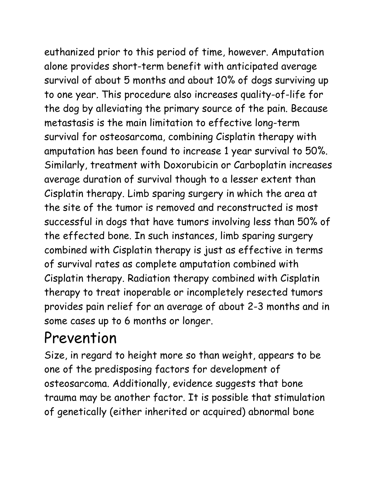euthanized prior to this period of time, however. Amputation alone provides short-term benefit with anticipated average survival of about 5 months and about 10% of dogs surviving up to one year. This procedure also increases quality-of-life for the dog by alleviating the primary source of the pain. Because metastasis is the main limitation to effective long-term survival for osteosarcoma, combining Cisplatin therapy with amputation has been found to increase 1 year survival to 50%. Similarly, treatment with Doxorubicin or Carboplatin increases average duration of survival though to a lesser extent than Cisplatin therapy. Limb sparing surgery in which the area at the site of the tumor is removed and reconstructed is most successful in dogs that have tumors involving less than 50% of the effected bone. In such instances, limb sparing surgery combined with Cisplatin therapy is just as effective in terms of survival rates as complete amputation combined with Cisplatin therapy. Radiation therapy combined with Cisplatin therapy to treat inoperable or incompletely resected tumors provides pain relief for an average of about 2-3 months and in some cases up to 6 months or longer.

#### Prevention

Size, in regard to height more so than weight, appears to be one of the predisposing factors for development of osteosarcoma. Additionally, evidence suggests that bone trauma may be another factor. It is possible that stimulation of genetically (either inherited or acquired) abnormal bone